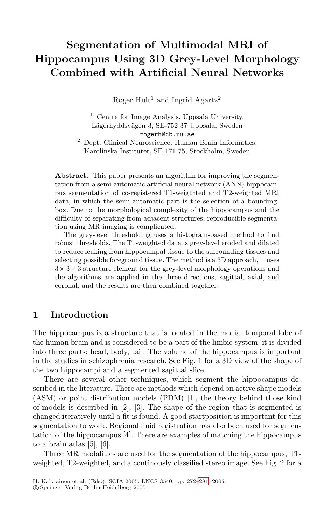# Segmentation of Multimodal MRI of Hippocampus Using 3D Grey-Level Morphology Combined with Artificial Neural Networks

Roger Hult<sup>1</sup> and Ingrid Agartz<sup>2</sup>

<sup>1</sup> Centre for Image Analysis, Uppsala University, Lägerhyddsvägen 3, SE-752 37 Uppsala, Sweden rogerh@cb.uu.se

<sup>2</sup> Dept. Clinical Neuroscience, Human Brain Informatics, Karolinska Institutet, SE-171 75, Stockholm, Sweden

Abstract. This paper presents an algorithm for improving the segmentation from a semi-automatic artificial neural network (ANN) hippocampus segmentation of co-registered T1-weigthted and T2-weighted MRI data, in which the semi-automatic part is the selection of a boundingbox. Due to the morphological complexity of the hippocampus and the difficulty of separating from adjacent structures, reproducible segmentation using MR imaging is complicated.

The grey-level thresholding uses a histogram-based method to find robust thresholds. The T1-weighted data is grey-level eroded and dilated to reduce leaking from hippocampal tissue to the surrounding tissues and selecting possible foreground tissue. The method is a 3D approach, it uses  $3 \times 3 \times 3$  structure element for the grey-level morphology operations and the algorithms are applied in the three directions, sagittal, axial, and coronal, and the results are then combined together.

### 1 Introduction

The hippocampus is a structure that is located in the medial temporal lobe of the human brain and is considered to be a part of the limbic system: it is divided into three parts: head, body, tail. The volume of the hippocampus is important in the studies in schizophrenia research. See Fig. 1 for a 3D view of the shape of the two hippocampi and a segmented sagittal slice.

There are several other techniques, which segment the hippocampus described in the literature. There are methods which depend on active shape models (ASM) or point distribution models (PDM) [1], the theory behind those kind of models is described in  $[2]$ ,  $[3]$ . The shape of the region that is segmented is changed iteratively until a fit is found. A good startposition is important for this segmentation to work. Regional fluid registration has also been used for segmentation of the hippocampus [4]. There are examples of matching the hippocampus to a brain atlas [5], [6].

Three MR modalities are used for the segmentation of the hippocampus, T1 weighted, T2-weighted, and a continously classified stereo image. See Fig. 2 for a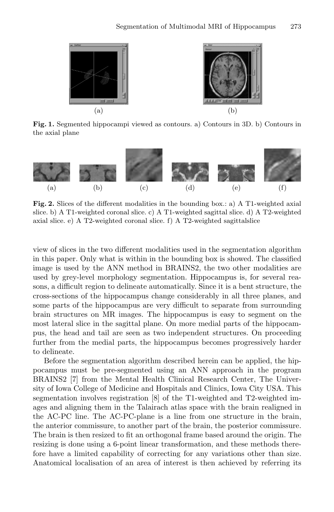

Fig. 1. Segmented hippocampi viewed as contours. a) Contours in 3D. b) Contours in the axial plane



Fig. 2. Slices of the different modalities in the bounding box.: a) A T1-weighted axial slice. b) A T1-weighted coronal slice. c) A T1-weighted sagittal slice. d) A T2-weighted axial slice. e) A T2-weighted coronal slice. f) A T2-weighted sagittalslice

view of slices in the two different modalities used in the segmentation algorithm in this paper. Only what is within in the bounding box is showed. The classified image is used by the ANN method in BRAINS2, the two other modalities are used by grey-level morphology segmentation. Hippocampus is, for several reasons, a difficult region to delineate automatically. Since it is a bent structure, the cross-sections of the hippocampus change considerably in all three planes, and some parts of the hippocampus are very difficult to separate from surrounding brain structures on MR images. The hippocampus is easy to segment on the most lateral slice in the sagittal plane. On more medial parts of the hippocampus, the head and tail are seen as two independent structures. On proceeding further from the medial parts, the hippocampus becomes progressively harder to delineate.

Before the segmentation algorithm described herein can be applied, the hippocampus must be pre-segmented using an ANN approach in the program BRAINS2 [7] from the Mental Health Clinical Research Center, The University of Iowa College of Medicine and Hospitals and Clinics, Iowa City USA. This segmentation involves registration [8] of the T1-weighted and T2-weighted images and aligning them in the Talairach atlas space with the brain realigned in the AC-PC line. The AC-PC-plane is a line from one structure in the brain, the anterior commissure, to another part of the brain, the posterior commissure. The brain is then resized to fit an orthogonal frame based around the origin. The resizing is done using a 6-point linear transformation, and these methods therefore have a limited capability of correcting for any variations other than size. Anatomical localisation of an area of interest is then achieved by referring its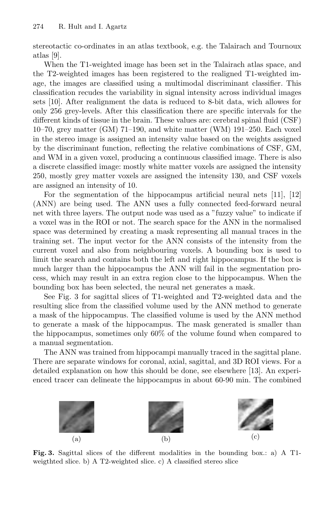stereotactic co-ordinates in an atlas textbook, e.g. the Talairach and Tournoux atlas [9].

When the T1-weighted image has been set in the Talairach atlas space, and the T2-weighted images has been registered to the realigned T1-weighted image, the images are classified using a multimodal discriminant classifier. This classification recudes the variability in signal intensity across individual images sets [10]. After realignment the data is reduced to 8-bit data, wich allowes for only 256 grey-levels. After this classification there are specific intervals for the different kinds of tissue in the brain. These values are: cerebral spinal fluid (CSF) 10–70, grey matter (GM) 71–190, and white matter (WM) 191–250. Each voxel in the stereo image is assigned an intensity value based on the weights assigned by the discriminant function, reflecting the relative combinations of CSF, GM, and WM in a given voxel, producing a continuous classified image. There is also a discrete classified image: mostly white matter voxels are assigned the intensity 250, mostly grey matter voxels are assigned the intensity 130, and CSF voxels are assigned an intensity of 10.

For the segmentation of the hippocampus artificial neural nets  $[11]$ ,  $[12]$ (ANN) are being used. The ANN uses a fully connected feed-forward neural net with three layers. The output node was used as a "fuzzy value" to indicate if a voxel was in the ROI or not. The search space for the ANN in the normalised space was determined by creating a mask representing all manual traces in the training set. The input vector for the ANN consists of the intensity from the current voxel and also from neighbouring voxels. A bounding box is used to limit the search and contains both the left and right hippocampus. If the box is much larger than the hippocampus the ANN will fail in the segmentation process, which may result in an extra region close to the hippocampus. When the bounding box has been selected, the neural net generates a mask.

See Fig. 3 for sagittal slices of T1-weighted and T2-weighted data and the resulting slice from the classified volume used by the ANN method to generate a mask of the hippocampus. The classified volume is used by the ANN method to generate a mask of the hippocampus. The mask generated is smaller than the hippocampus, sometimes only 60% of the volume found when compared to a manual segmentation.

The ANN was trained from hippocampi manually traced in the sagittal plane. There are separate windows for coronal, axial, sagittal, and 3D ROI views. For a detailed explanation on how this should be done, see elsewhere [13]. An experienced tracer can delineate the hippocampus in about 60-90 min. The combined



Fig. 3. Sagittal slices of the different modalities in the bounding box.: a) A T1 weigthted slice. b) A T2-weighted slice. c) A classified stereo slice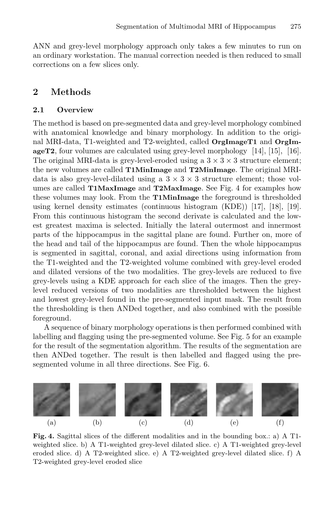ANN and grey-level morphology approach only takes a few minutes to run on an ordinary workstation. The manual correction needed is then reduced to small corrections on a few slices only.

## 2 Methods

#### 2.1 Overview

The method is based on pre-segmented data and grey-level morphology combined with anatomical knowledge and binary morphology. In addition to the original MRI-data, T1-weighted and T2-weighted, called OrgImageT1 and OrgImageT2, four volumes are calculated using grey-level morphology [14], [15], [16]. The original MRI-data is grey-level-eroded using a  $3 \times 3 \times 3$  structure element; the new volumes are called T1MinImage and T2MinImage. The original MRIdata is also grey-level-dilated using a  $3 \times 3 \times 3$  structure element; those volumes are called T1MaxImage and T2MaxImage. See Fig. 4 for examples how these volumes may look. From the T1MinImage the foreground is thresholded using kernel density estimates (continuous histogram (KDE)) [17], [18], [19]. From this continuous histogram the second derivate is calculated and the lowest greatest maxima is selected. Initially the lateral outermost and innermost parts of the hippocampus in the sagittal plane are found. Further on, more of the head and tail of the hippocampus are found. Then the whole hippocampus is segmented in sagittal, coronal, and axial directions using information from the T1-weighted and the T2-weighted volume combined with grey-level eroded and dilated versions of the two modalities. The grey-levels are reduced to five grey-levels using a KDE approach for each slice of the images. Then the greylevel reduced versions of two modalities are thresholded between the highest and lowest grey-level found in the pre-segmented input mask. The result from the thresholding is then ANDed together, and also combined with the possible foreground.

A sequence of binary morphology operations is then performed combined with labelling and flagging using the pre-segmented volume. See Fig. 5 for an example for the result of the segmentation algorithm. The results of the segmentation are then ANDed together. The result is then labelled and flagged using the presegmented volume in all three directions. See Fig. 6.



Fig. 4. Sagittal slices of the different modalities and in the bounding box.: a) A T1 weighted slice. b) A T1-weighted grey-level dilated slice. c) A T1-weighted grey-level eroded slice. d) A T2-weighted slice. e) A T2-weighted grey-level dilated slice. f) A T2-weighted grey-level eroded slice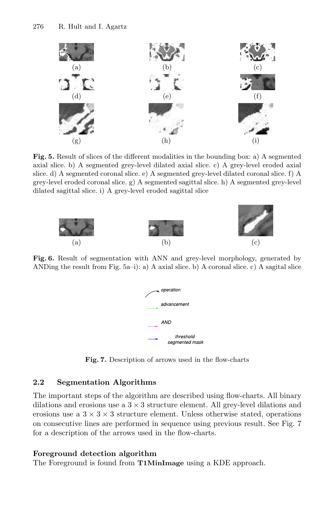

Fig. 5. Result of slices of the different modalities in the bounding box: a) A segmented axial slice. b) A segmented grey-level dilated axial slice. c) A grey-level eroded axial slice. d) A segmented coronal slice. e) A segmented grey-level dilated coronal slice. f) A grey-level eroded coronal slice. g) A segmented sagittal slice. h) A segmented grey-level dilated sagittal slice. i) A grey-level eroded sagittal slice



Fig. 6. Result of segmentation with ANN and grey-level morphology, generated by ANDing the result from Fig.  $5a-i$ : a) A axial slice. b) A coronal slice. c) A sagital slice



Fig. 7. Description of arrows used in the flow-charts

### 2.2 Segmentation Algorithms

The important steps of the algorithm are described using flow-charts. All binary dilations and erosions use a  $3 \times 3$  structure element. All grev-level dilations and erosions use a  $3 \times 3 \times 3$  structure element. Unless otherwise stated, operations on consecutive lines are performed in sequence using previous result. See Fig. 7 for a description of the arrows used in the flow-charts.

# Foreground detection algorithm

The Foreground is found from T1MinImage using a KDE approach.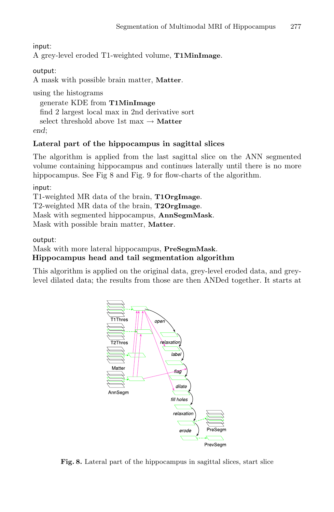input:

A grey-level eroded T1-weighted volume, T1MinImage.

output:

A mask with possible brain matter, Matter.

using the histograms

generate KDE from T1MinImage find 2 largest local max in 2nd derivative sort select threshold above 1st max  $\rightarrow$  Matter end;

## Lateral part of the hippocampus in sagittal slices

The algorithm is applied from the last sagittal slice on the ANN segmented volume containing hippocampus and continues laterally until there is no more hippocampus. See Fig 8 and Fig. 9 for flow-charts of the algorithm.

input:

T1-weighted MR data of the brain, T1OrgImage.

T2-weighted MR data of the brain, T2OrgImage.

Mask with segmented hippocampus, AnnSegmMask.

Mask with possible brain matter, Matter.

output:

Mask with more lateral hippocampus, PreSegmMask.

### Hippocampus head and tail segmentation algorithm

This algorithm is applied on the original data, grey-level eroded data, and greylevel dilated data; the results from those are then ANDed together. It starts at



Fig. 8. Lateral part of the hippocampus in sagittal slices, start slice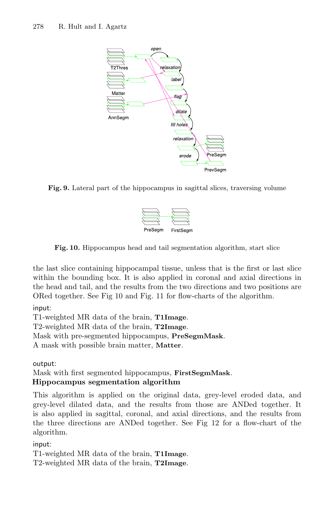

Fig. 9. Lateral part of the hippocampus in sagittal slices, traversing volume



Fig. 10. Hippocampus head and tail segmentation algorithm, start slice

the last slice containing hippocampal tissue, unless that is the first or last slice within the bounding box. It is also applied in coronal and axial directions in the head and tail, and the results from the two directions and two positions are ORed together. See Fig 10 and Fig. 11 for flow-charts of the algorithm.

#### input:

T1-weighted MR data of the brain, T1Image. T2-weighted MR data of the brain, T2Image. Mask with pre-segmented hippocampus, PreSegmMask. A mask with possible brain matter, Matter.

output:

Mask with first segmented hippocampus, FirstSegmMask. Hippocampus segmentation algorithm

This algorithm is applied on the original data, grey-level eroded data, and grey-level dilated data, and the results from those are ANDed together. It is also applied in sagittal, coronal, and axial directions, and the results from the three directions are ANDed together. See Fig 12 for a flow-chart of the algorithm.

input:

T1-weighted MR data of the brain, T1Image.

T2-weighted MR data of the brain, T2Image.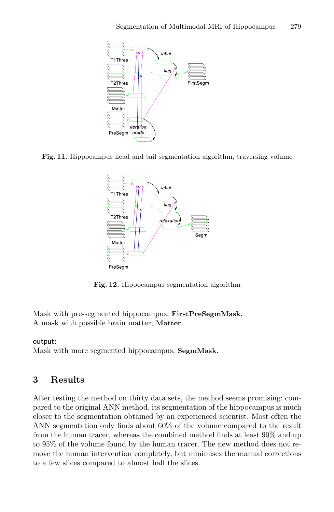

Fig. 11. Hippocampus head and tail segmentation algorithm, traversing volume



Fig. 12. Hippocampus segmentation algorithm

Mask with pre-segmented hippocampus, FirstPreSegmMask. A mask with possible brain matter, Matter.

#### output:

Mask with more segmented hippocampus, SegmMask.

# 3 Results

After testing the method on thirty data sets, the method seems promising: compared to the original ANN method, its segmentation of the hippocampus is much closer to the segmentation obtained by an experienced scientist. Most often the ANN segmentation only finds about 60% of the volume compared to the result from the human tracer, whereas the combined method finds at least 90% and up to 95% of the volume found by the human tracer. The new method does not remove the human intervention completely, but minimises the manual corrections to a few slices compared to almost half the slices.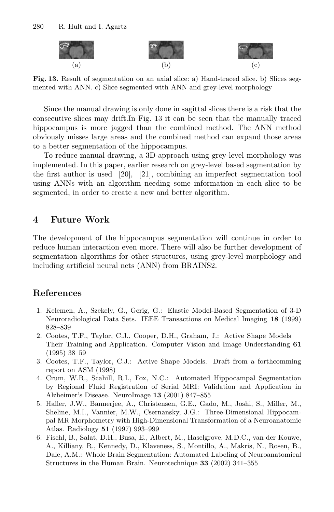

Fig. 13. Result of segmentation on an axial slice: a) Hand-traced slice. b) Slices segmented with ANN. c) Slice segmented with ANN and grey-level morphology

Since the manual drawing is only done in sagittal slices there is a risk that the consecutive slices may drift.In Fig. 13 it can be seen that the manually traced hippocampus is more jagged than the combined method. The ANN method obviously misses large areas and the combined method can expand those areas to a better segmentation of the hippocampus.

To reduce manual drawing, a 3D-approach using grey-level morphology was implemented. In this paper, earlier research on grey-level based segmentation by the first author is used [20], [21], combining an imperfect segmentation tool using ANNs with an algorithm needing some information in each slice to be segmented, in order to create a new and better algorithm.

# 4 Future Work

The development of the hippocampus segmentation will continue in order to reduce human interaction even more. There will also be further development of segmentation algorithms for other structures, using grey-level morphology and including artificial neural nets (ANN) from BRAINS2.

# References

- 1. Kelemen, A., Szekely, G., Gerig, G.: Elastic Model-Based Segmentation of 3-D Neuroradiological Data Sets. IEEE Transactions on Medical Imaging 18 (1999) 828–839
- 2. Cootes, T.F., Taylor, C.J., Cooper, D.H., Graham, J.: Active Shape Models Their Training and Application. Computer Vision and Image Understanding 61 (1995) 38–59
- 3. Cootes, T.F., Taylor, C.J.: Active Shape Models. Draft from a forthcomming report on ASM (1998)
- 4. Crum, W.R., Scahill, R.I., Fox, N.C.: Automated Hippocampal Segmentation by Regional Fluid Registration of Serial MRI: Validation and Application in Alzheimer's Disease. NeuroImage 13 (2001) 847–855
- 5. Haller, J.W., Bannerjee, A., Christensen, G.E., Gado, M., Joshi, S., Miller, M., Sheline, M.I., Vannier, M.W., Csernansky, J.G.: Three-Dimensional Hippocampal MR Morphometry with High-Dimensional Transformation of a Neuroanatomic Atlas. Radiology 51 (1997) 993–999
- 6. Fischl, B., Salat, D.H., Busa, E., Albert, M., Haselgrove, M.D.C., van der Kouwe, A., Killiany, R., Kennedy, D., Klaveness, S., Montillo, A., Makris, N., Rosen, B., Dale, A.M.: Whole Brain Segmentation: Automated Labeling of Neuroanatomical Structures in the Human Brain. Neurotechnique 33 (2002) 341–355